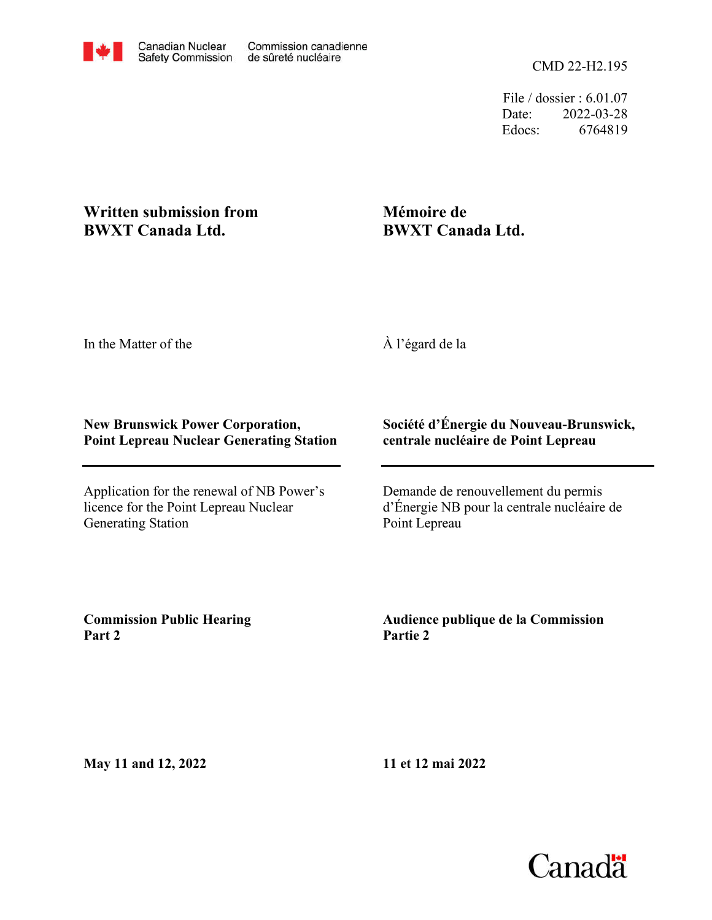File / dossier : 6.01.07 Date: 2022-03-28 Edocs: 6764819

# **Written submission from BWXT Canada Ltd.**

# **Mémoire de BWXT Canada Ltd.**

In the Matter of the

À l'égard de la

## **New Brunswick Power Corporation, Point Lepreau Nuclear Generating Station**

Application for the renewal of NB Power's licence for the Point Lepreau Nuclear Generating Station

## **Société d'Énergie du Nouveau-Brunswick, centrale nucléaire de Point Lepreau**

Demande de renouvellement du permis d'Énergie NB pour la centrale nucléaire de Point Lepreau

**Commission Public Hearing Part 2**

**Audience publique de la Commission Partie 2**

**May 11 and 12, 2022**

**11 et 12 mai 2022**

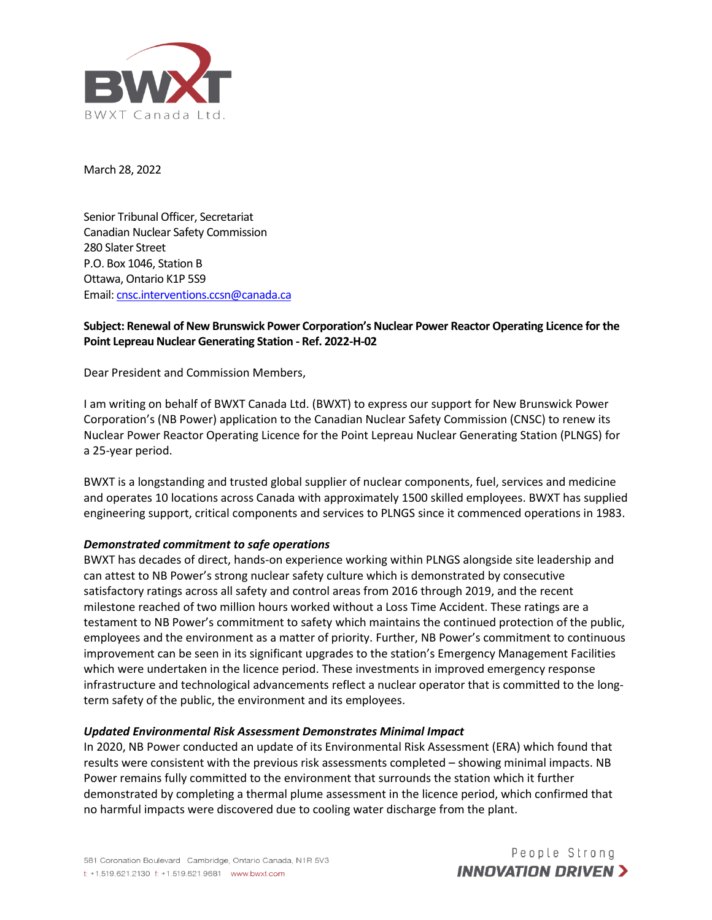

March 28, 2022

Senior Tribunal Officer, Secretariat Canadian Nuclear Safety Commission 280 Slater Street P.O. Box 1046, Station B Ottawa, Ontario K1P 5S9 Email[: cnsc.interventions.ccsn@canada.ca](mailto:cnsc.interventions.ccsn@canada.ca)

### **Subject: Renewal of New Brunswick Power Corporation's Nuclear Power Reactor Operating Licence for the Point Lepreau Nuclear Generating Station - Ref. 2022-H-02**

Dear President and Commission Members,

I am writing on behalf of BWXT Canada Ltd. (BWXT) to express our support for New Brunswick Power Corporation's (NB Power) application to the Canadian Nuclear Safety Commission (CNSC) to renew its Nuclear Power Reactor Operating Licence for the Point Lepreau Nuclear Generating Station (PLNGS) for a 25-year period.

BWXT is a longstanding and trusted global supplier of nuclear components, fuel, services and medicine and operates 10 locations across Canada with approximately 1500 skilled employees. BWXT has supplied engineering support, critical components and services to PLNGS since it commenced operations in 1983.

### *Demonstrated commitment to safe operations*

BWXT has decades of direct, hands-on experience working within PLNGS alongside site leadership and can attest to NB Power's strong nuclear safety culture which is demonstrated by consecutive satisfactory ratings across all safety and control areas from 2016 through 2019, and the recent milestone reached of two million hours worked without a Loss Time Accident. These ratings are a testament to NB Power's commitment to safety which maintains the continued protection of the public, employees and the environment as a matter of priority. Further, NB Power's commitment to continuous improvement can be seen in its significant upgrades to the station's Emergency Management Facilities which were undertaken in the licence period. These investments in improved emergency response infrastructure and technological advancements reflect a nuclear operator that is committed to the longterm safety of the public, the environment and its employees.

#### *Updated Environmental Risk Assessment Demonstrates Minimal Impact*

In 2020, NB Power conducted an update of its Environmental Risk Assessment (ERA) which found that results were consistent with the previous risk assessments completed – showing minimal impacts. NB Power remains fully committed to the environment that surrounds the station which it further demonstrated by completing a thermal plume assessment in the licence period, which confirmed that no harmful impacts were discovered due to cooling water discharge from the plant.